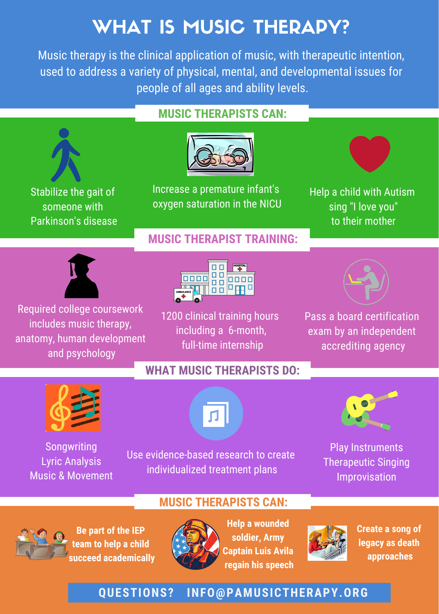# WHAT IS MUSIC THERAPY?

Music therapy is the clinical application of music, with therapeutic intention, used to address a variety of physical, mental, and developmental issues for people of all ages and ability levels.



Songwriting Lyric Analysis Music & Movement

Use evidence-based research to create individualized treatment plans

Play Instruments Therapeutic Singing Improvisation

#### **MUSIC THERAPISTS CAN:**

**QUESTIONS? INFO@PAMUSICTHERAPY.ORG**



**Be part of the IEP team to help a child succeed academically**



**Help a wounded soldier, Army Captain Luis Avila regain his speech**



**Create a song of legacy as death approaches**